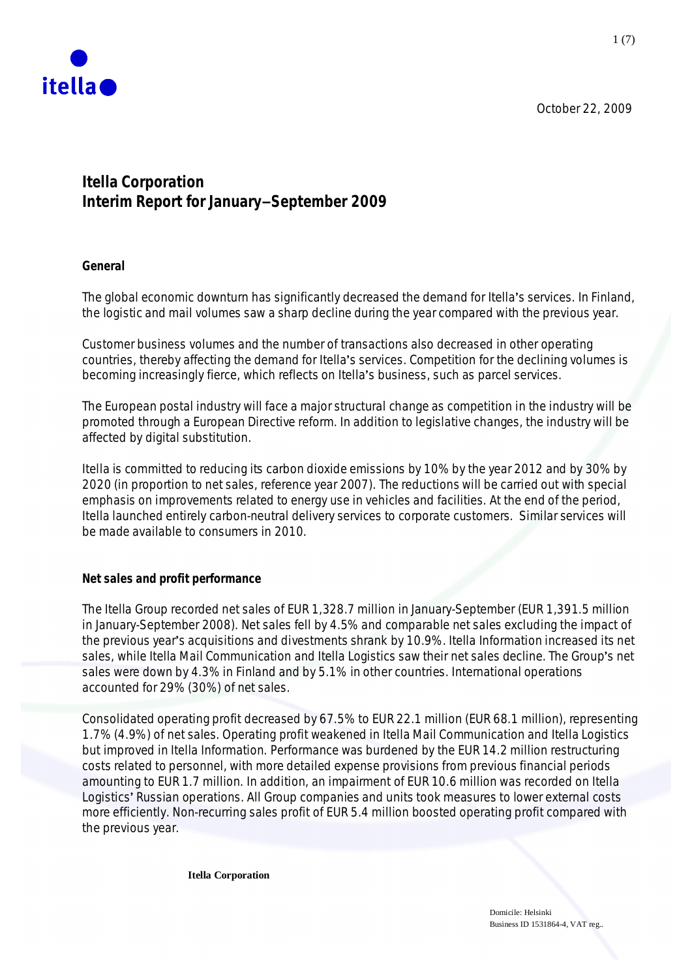

**Itella Corporation Interim Report for JanuarymSeptember 2009**

**General**

The global economic downturn has significantly decreased the demand for Itella's services. In Finland, the logistic and mail volumes saw a sharp decline during the year compared with the previous year.

Customer business volumes and the number of transactions also decreased in other operating countries, thereby affecting the demand for Itella's services. Competition for the declining volumes is becoming increasingly fierce, which reflects on Itella's business, such as parcel services.

The European postal industry will face a major structural change as competition in the industry will be promoted through a European Directive reform. In addition to legislative changes, the industry will be affected by digital substitution.

Itella is committed to reducing its carbon dioxide emissions by 10% by the year 2012 and by 30% by 2020 (in proportion to net sales, reference year 2007). The reductions will be carried out with special emphasis on improvements related to energy use in vehicles and facilities. At the end of the period, Itella launched entirely carbon-neutral delivery services to corporate customers. Similar services will be made available to consumers in 2010.

**Net sales and profit performance**

The Itella Group recorded net sales of EUR 1,328.7 million in January-September (EUR 1,391.5 million in January-September 2008). Net sales fell by 4.5% and comparable net sales excluding the impact of the previous year's acquisitions and divestments shrank by 10.9%. Itella Information increased its net sales, while Itella Mail Communication and Itella Logistics saw their net sales decline. The Group's net sales were down by 4.3% in Finland and by 5.1% in other countries. International operations accounted for 29% (30%) of net sales.

Consolidated operating profit decreased by 67.5% to EUR 22.1 million (EUR 68.1 million), representing 1.7% (4.9%) of net sales. Operating profit weakened in Itella Mail Communication and Itella Logistics but improved in Itella Information. Performance was burdened by the EUR 14.2 million restructuring costs related to personnel, with more detailed expense provisions from previous financial periods amounting to EUR 1.7 million. In addition, an impairment of EUR 10.6 million was recorded on Itella Logistics' Russian operations. All Group companies and units took measures to lower external costs more efficiently. Non-recurring sales profit of EUR 5.4 million boosted operating profit compared with the previous year.

**Itella Corporation**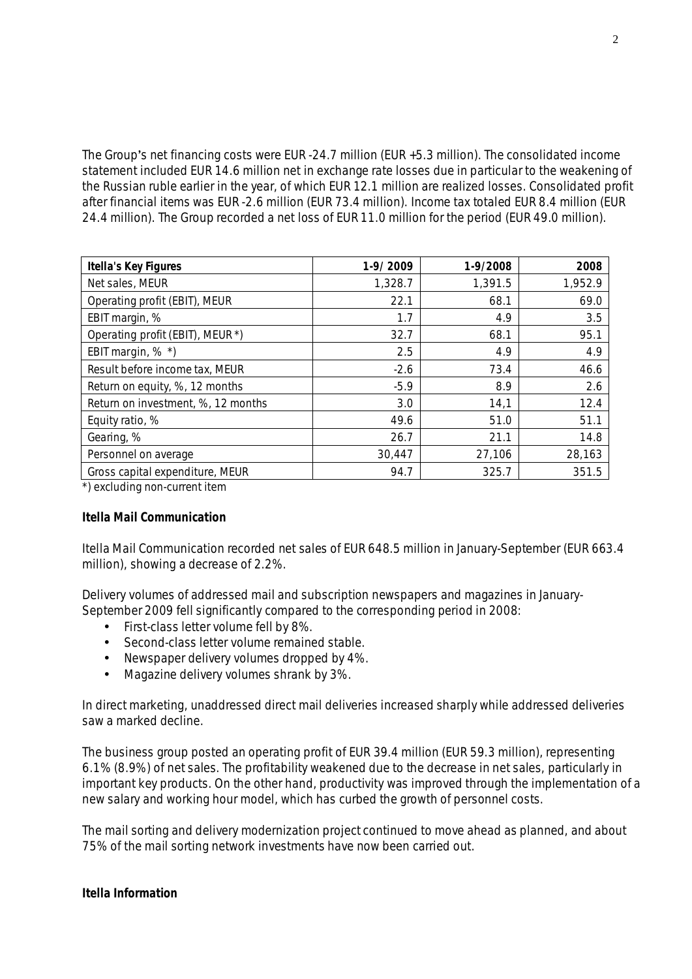The Group's net financing costs were EUR -24.7 million (EUR +5.3 million). The consolidated income statement included EUR 14.6 million net in exchange rate losses due in particular to the weakening of the Russian ruble earlier in the year, of which EUR 12.1 million are realized losses. Consolidated profit after financial items was EUR -2.6 million (EUR 73.4 million). Income tax totaled EUR 8.4 million (EUR 24.4 million). The Group recorded a net loss of EUR 11.0 million for the period (EUR 49.0 million).

| Itella's Key Figures               | 1-9/2009 | 1-9/2008 | 2008    |
|------------------------------------|----------|----------|---------|
| Net sales, MEUR                    | 1,328.7  | 1,391.5  | 1,952.9 |
| Operating profit (EBIT), MEUR      | 22.1     | 68.1     | 69.0    |
| EBIT margin, %                     | 1.7      | 4.9      | 3.5     |
| Operating profit (EBIT), MEUR *)   | 32.7     | 68.1     | 95.1    |
| EBIT margin, % *)                  | 2.5      | 4.9      | 4.9     |
| Result before income tax, MEUR     | $-2.6$   | 73.4     | 46.6    |
| Return on equity, %, 12 months     | $-5.9$   | 8.9      | 2.6     |
| Return on investment, %, 12 months | 3.0      | 14,1     | 12.4    |
| Equity ratio, %                    | 49.6     | 51.0     | 51.1    |
| Gearing, %                         | 26.7     | 21.1     | 14.8    |
| Personnel on average               | 30,447   | 27,106   | 28,163  |
| Gross capital expenditure, MEUR    | 94.7     | 325.7    | 351.5   |

\*) excluding non-current item

# **Itella Mail Communication**

Itella Mail Communication recorded net sales of EUR 648.5 million in January-September (EUR 663.4 million), showing a decrease of 2.2%.

Delivery volumes of addressed mail and subscription newspapers and magazines in January-September 2009 fell significantly compared to the corresponding period in 2008:

- First-class letter volume fell by 8%.
- Second-class letter volume remained stable.
- Newspaper delivery volumes dropped by 4%.
- Magazine delivery volumes shrank by 3%.

In direct marketing, unaddressed direct mail deliveries increased sharply while addressed deliveries saw a marked decline.

The business group posted an operating profit of EUR 39.4 million (EUR 59.3 million), representing 6.1% (8.9%) of net sales. The profitability weakened due to the decrease in net sales, particularly in important key products. On the other hand, productivity was improved through the implementation of a new salary and working hour model, which has curbed the growth of personnel costs.

The mail sorting and delivery modernization project continued to move ahead as planned, and about 75% of the mail sorting network investments have now been carried out.

**Itella Information**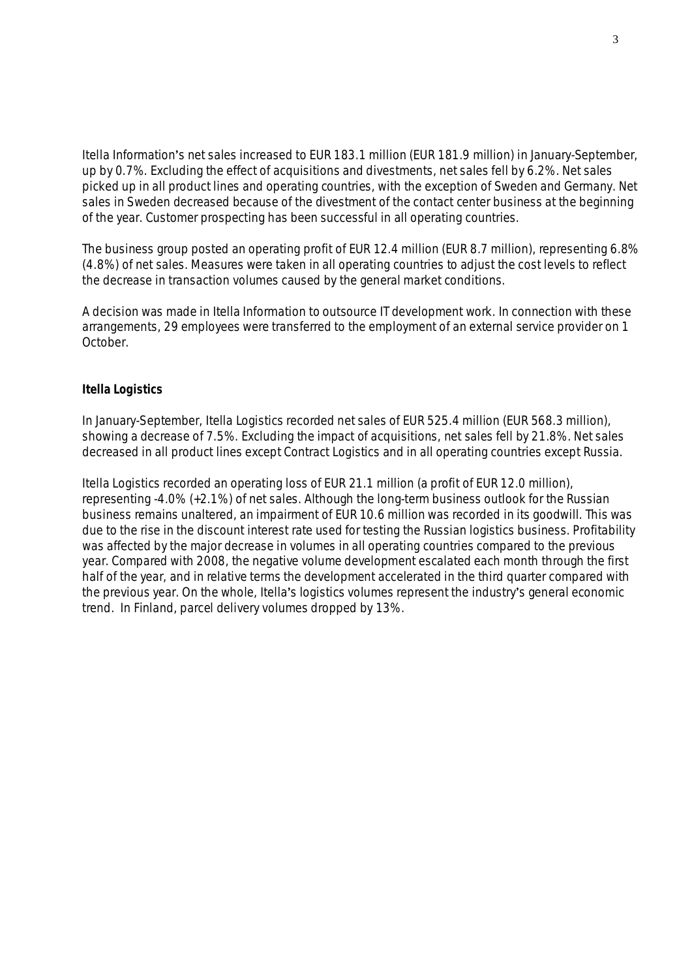Itella Information's net sales increased to EUR 183.1 million (EUR 181.9 million) in January-September, up by 0.7%. Excluding the effect of acquisitions and divestments, net sales fell by 6.2%. Net sales picked up in all product lines and operating countries, with the exception of Sweden and Germany. Net sales in Sweden decreased because of the divestment of the contact center business at the beginning of the year. Customer prospecting has been successful in all operating countries.

The business group posted an operating profit of EUR 12.4 million (EUR 8.7 million), representing 6.8% (4.8%) of net sales. Measures were taken in all operating countries to adjust the cost levels to reflect the decrease in transaction volumes caused by the general market conditions.

A decision was made in Itella Information to outsource IT development work. In connection with these arrangements, 29 employees were transferred to the employment of an external service provider on 1 October.

# **Itella Logistics**

In January-September, Itella Logistics recorded net sales of EUR 525.4 million (EUR 568.3 million), showing a decrease of 7.5%. Excluding the impact of acquisitions, net sales fell by 21.8%. Net sales decreased in all product lines except Contract Logistics and in all operating countries except Russia.

Itella Logistics recorded an operating loss of EUR 21.1 million (a profit of EUR 12.0 million), representing -4.0% (+2.1%) of net sales. Although the long-term business outlook for the Russian business remains unaltered, an impairment of EUR 10.6 million was recorded in its goodwill. This was due to the rise in the discount interest rate used for testing the Russian logistics business. Profitability was affected by the major decrease in volumes in all operating countries compared to the previous year. Compared with 2008, the negative volume development escalated each month through the first half of the year, and in relative terms the development accelerated in the third quarter compared with the previous year. On the whole, Itella's logistics volumes represent the industry's general economic trend. In Finland, parcel delivery volumes dropped by 13%.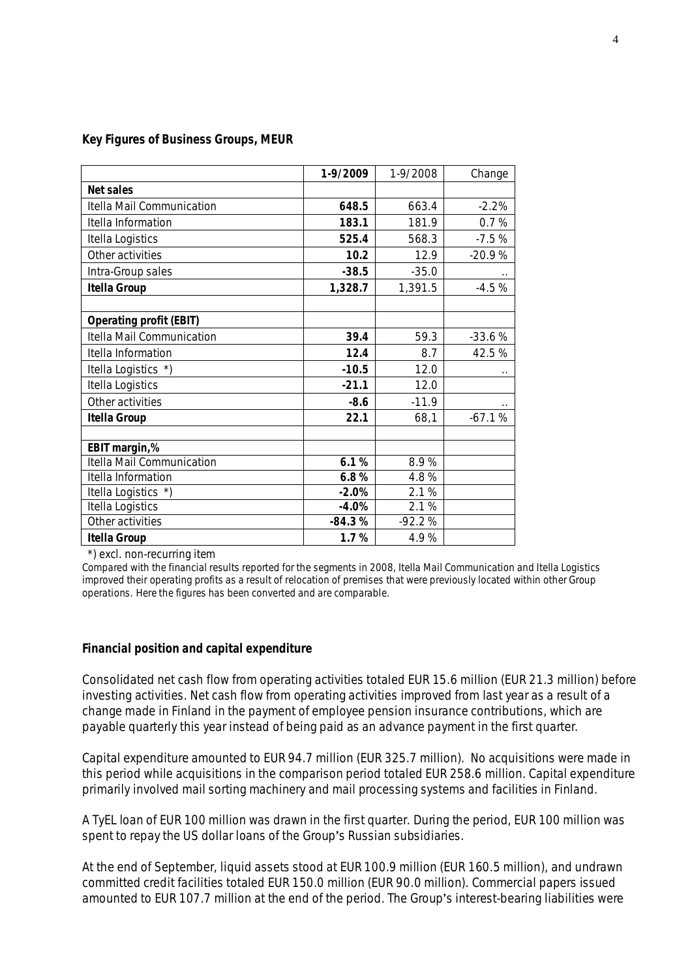| Key Figures of Business Groups, MEUR |  |
|--------------------------------------|--|
|--------------------------------------|--|

|                                  | 1-9/2009 | 1-9/2008 | Change               |
|----------------------------------|----------|----------|----------------------|
| Net sales                        |          |          |                      |
| Itella Mail Communication        | 648.5    | 663.4    | $-2.2%$              |
| Itella Information               | 183.1    | 181.9    | 0.7%                 |
| Itella Logistics                 | 525.4    | 568.3    | $-7.5%$              |
| Other activities                 | 10.2     | 12.9     | $-20.9%$             |
| Intra-Group sales                | $-38.5$  | $-35.0$  |                      |
| Itella Group                     | 1,328.7  | 1,391.5  | $-4.5%$              |
| Operating profit (EBIT)          |          |          |                      |
| <b>Itella Mail Communication</b> | 39.4     | 59.3     | $-33.6%$             |
| Itella Information               | 12.4     | 8.7      | 42.5%                |
| Itella Logistics *)              | $-10.5$  | 12.0     | $\ddot{\phantom{0}}$ |
| Itella Logistics                 | $-21.1$  | 12.0     |                      |
| Other activities                 | $-8.6$   | $-11.9$  | $\cdot$ .            |
| Itella Group                     | 22.1     | 68,1     | $-67.1%$             |
| EBIT margin,%                    |          |          |                      |
| <b>Itella Mail Communication</b> | 6.1%     | 8.9%     |                      |
| Itella Information               | 6.8%     | 4.8%     |                      |
| Itella Logistics *)              | $-2.0%$  | 2.1%     |                      |
| Itella Logistics                 | $-4.0%$  | 2.1%     |                      |
| Other activities                 | $-84.3%$ | $-92.2%$ |                      |
| Itella Group                     | 1.7%     | 4.9%     |                      |

\*) excl. non-recurring item

Compared with the financial results reported for the segments in 2008, Itella Mail Communication and Itella Logistics improved their operating profits as a result of relocation of premises that were previously located within other Group operations. Here the figures has been converted and are comparable.

#### **Financial position and capital expenditure**

Consolidated net cash flow from operating activities totaled EUR 15.6 million (EUR 21.3 million) before investing activities. Net cash flow from operating activities improved from last year as a result of a change made in Finland in the payment of employee pension insurance contributions, which are payable quarterly this year instead of being paid as an advance payment in the first quarter.

Capital expenditure amounted to EUR 94.7 million (EUR 325.7 million). No acquisitions were made in this period while acquisitions in the comparison period totaled EUR 258.6 million. Capital expenditure primarily involved mail sorting machinery and mail processing systems and facilities in Finland.

A TyEL loan of EUR 100 million was drawn in the first quarter. During the period, EUR 100 million was spent to repay the US dollar loans of the Group's Russian subsidiaries.

At the end of September, liquid assets stood at EUR 100.9 million (EUR 160.5 million), and undrawn committed credit facilities totaled EUR 150.0 million (EUR 90.0 million). Commercial papers issued amounted to EUR 107.7 million at the end of the period. The Group's interest-bearing liabilities were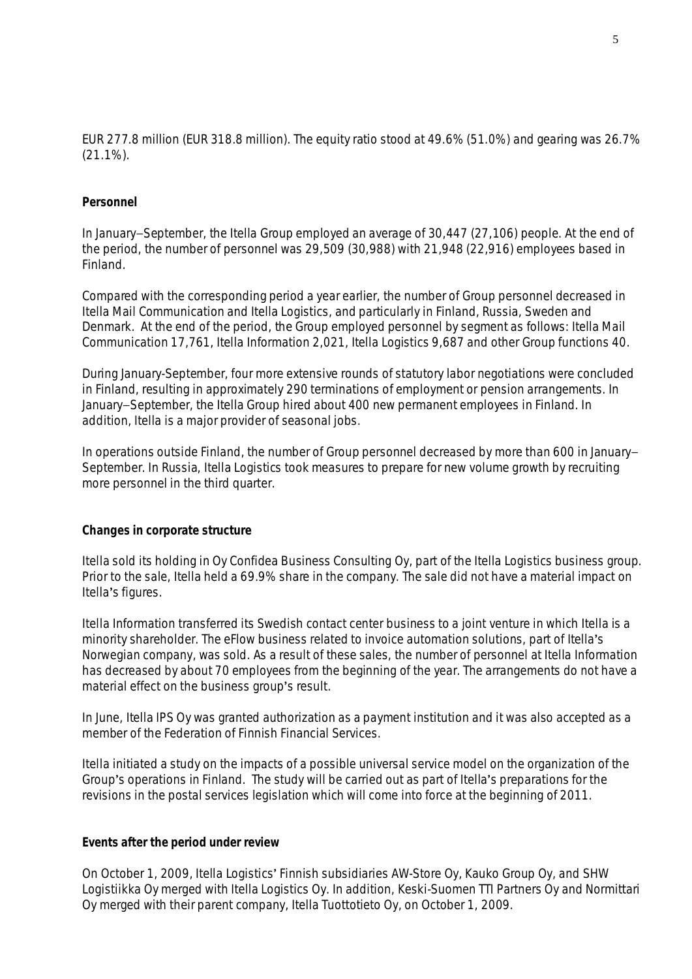EUR 277.8 million (EUR 318.8 million). The equity ratio stood at 49.6% (51.0%) and gearing was 26.7% (21.1%).

# **Personnel**

In January–September, the Itella Group employed an average of 30,447 (27,106) people. At the end of the period, the number of personnel was 29,509 (30,988) with 21,948 (22,916) employees based in Finland.

Compared with the corresponding period a year earlier, the number of Group personnel decreased in Itella Mail Communication and Itella Logistics, and particularly in Finland, Russia, Sweden and Denmark. At the end of the period, the Group employed personnel by segment as follows: Itella Mail Communication 17,761, Itella Information 2,021, Itella Logistics 9,687 and other Group functions 40.

During January-September, four more extensive rounds of statutory labor negotiations were concluded in Finland, resulting in approximately 290 terminations of employment or pension arrangements. In January–September, the Itella Group hired about 400 new permanent employees in Finland. In addition, Itella is a major provider of seasonal jobs.

In operations outside Finland, the number of Group personnel decreased by more than 600 in January-September. In Russia, Itella Logistics took measures to prepare for new volume growth by recruiting more personnel in the third quarter.

# **Changes in corporate structure**

Itella sold its holding in Oy Confidea Business Consulting Oy, part of the Itella Logistics business group. Prior to the sale, Itella held a 69.9% share in the company. The sale did not have a material impact on Itella's figures.

Itella Information transferred its Swedish contact center business to a joint venture in which Itella is a minority shareholder. The eFlow business related to invoice automation solutions, part of Itella's Norwegian company, was sold. As a result of these sales, the number of personnel at Itella Information has decreased by about 70 employees from the beginning of the year. The arrangements do not have a material effect on the business group's result.

In June, Itella IPS Oy was granted authorization as a payment institution and it was also accepted as a member of the Federation of Finnish Financial Services.

Itella initiated a study on the impacts of a possible universal service model on the organization of the Group's operations in Finland. The study will be carried out as part of Itella's preparations for the revisions in the postal services legislation which will come into force at the beginning of 2011.

# **Events after the period under review**

On October 1, 2009, Itella Logistics Finnish subsidiaries AW-Store Oy, Kauko Group Oy, and SHW Logistiikka Oy merged with Itella Logistics Oy. In addition, Keski-Suomen TTI Partners Oy and Normittari Oy merged with their parent company, Itella Tuottotieto Oy, on October 1, 2009.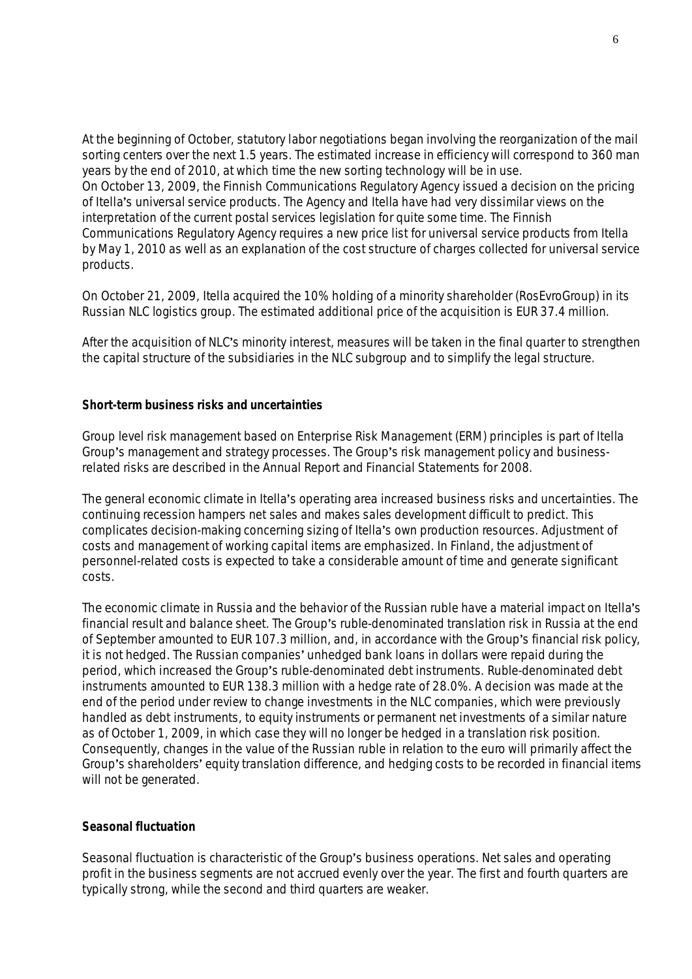At the beginning of October, statutory labor negotiations began involving the reorganization of the mail sorting centers over the next 1.5 years. The estimated increase in efficiency will correspond to 360 man years by the end of 2010, at which time the new sorting technology will be in use. On October 13, 2009, the Finnish Communications Regulatory Agency issued a decision on the pricing of Itella's universal service products. The Agency and Itella have had very dissimilar views on the interpretation of the current postal services legislation for quite some time. The Finnish Communications Regulatory Agency requires a new price list for universal service products from Itella by May 1, 2010 as well as an explanation of the cost structure of charges collected for universal service products.

On October 21, 2009, Itella acquired the 10% holding of a minority shareholder (RosEvroGroup) in its Russian NLC logistics group. The estimated additional price of the acquisition is EUR 37.4 million.

After the acquisition of NLC's minority interest, measures will be taken in the final quarter to strengthen the capital structure of the subsidiaries in the NLC subgroup and to simplify the legal structure.

**Short-term business risks and uncertainties**

Group level risk management based on Enterprise Risk Management (ERM) principles is part of Itella Group's management and strategy processes. The Group's risk management policy and businessrelated risks are described in the Annual Report and Financial Statements for 2008.

The general economic climate in Itella's operating area increased business risks and uncertainties. The continuing recession hampers net sales and makes sales development difficult to predict. This complicates decision-making concerning sizing of Itella's own production resources. Adjustment of costs and management of working capital items are emphasized. In Finland, the adjustment of personnel-related costs is expected to take a considerable amount of time and generate significant costs.

The economic climate in Russia and the behavior of the Russian ruble have a material impact on Itella's financial result and balance sheet. The Group's ruble-denominated translation risk in Russia at the end of September amounted to EUR 107.3 million, and, in accordance with the Group's financial risk policy, it is not hedged. The Russian companies' unhedged bank loans in dollars were repaid during the period, which increased the Group's ruble-denominated debt instruments. Ruble-denominated debt instruments amounted to EUR 138.3 million with a hedge rate of 28.0%. A decision was made at the end of the period under review to change investments in the NLC companies, which were previously handled as debt instruments, to equity instruments or permanent net investments of a similar nature as of October 1, 2009, in which case they will no longer be hedged in a translation risk position. Consequently, changes in the value of the Russian ruble in relation to the euro will primarily affect the Group's shareholders' equity translation difference, and hedging costs to be recorded in financial items will not be generated.

## **Seasonal fluctuation**

Seasonal fluctuation is characteristic of the Group's business operations. Net sales and operating profit in the business segments are not accrued evenly over the year. The first and fourth quarters are typically strong, while the second and third quarters are weaker.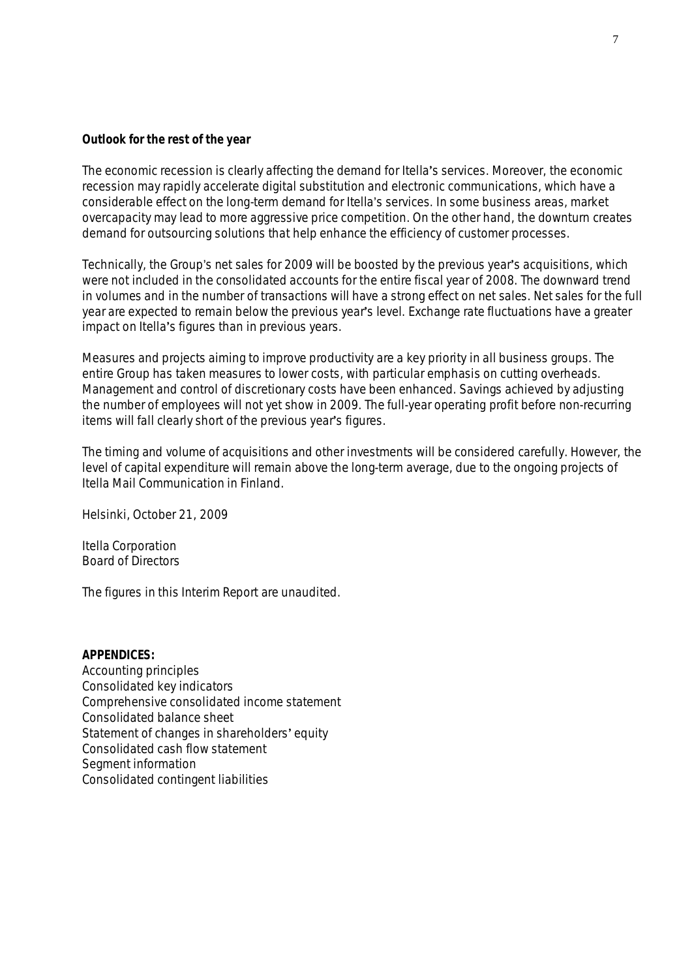# **Outlook for the rest of the year**

The economic recession is clearly affecting the demand for Itella's services. Moreover, the economic recession may rapidly accelerate digital substitution and electronic communications, which have a considerable effect on the long-term demand for Itella's services. In some business areas, market overcapacity may lead to more aggressive price competition. On the other hand, the downturn creates demand for outsourcing solutions that help enhance the efficiency of customer processes.

Technically, the Group's net sales for 2009 will be boosted by the previous year's acquisitions, which were not included in the consolidated accounts for the entire fiscal year of 2008. The downward trend in volumes and in the number of transactions will have a strong effect on net sales. Net sales for the full year are expected to remain below the previous year's level. Exchange rate fluctuations have a greater impact on Itella's figures than in previous years.

Measures and projects aiming to improve productivity are a key priority in all business groups. The entire Group has taken measures to lower costs, with particular emphasis on cutting overheads. Management and control of discretionary costs have been enhanced. Savings achieved by adjusting the number of employees will not yet show in 2009. The full-year operating profit before non-recurring items will fall clearly short of the previous year's figures.

The timing and volume of acquisitions and other investments will be considered carefully. However, the level of capital expenditure will remain above the long-term average, due to the ongoing projects of Itella Mail Communication in Finland.

Helsinki, October 21, 2009

Itella Corporation Board of Directors

The figures in this Interim Report are unaudited.

**APPENDICES:** Accounting principles Consolidated key indicators Comprehensive consolidated income statement Consolidated balance sheet Statement of changes in shareholders' equity Consolidated cash flow statement Segment information Consolidated contingent liabilities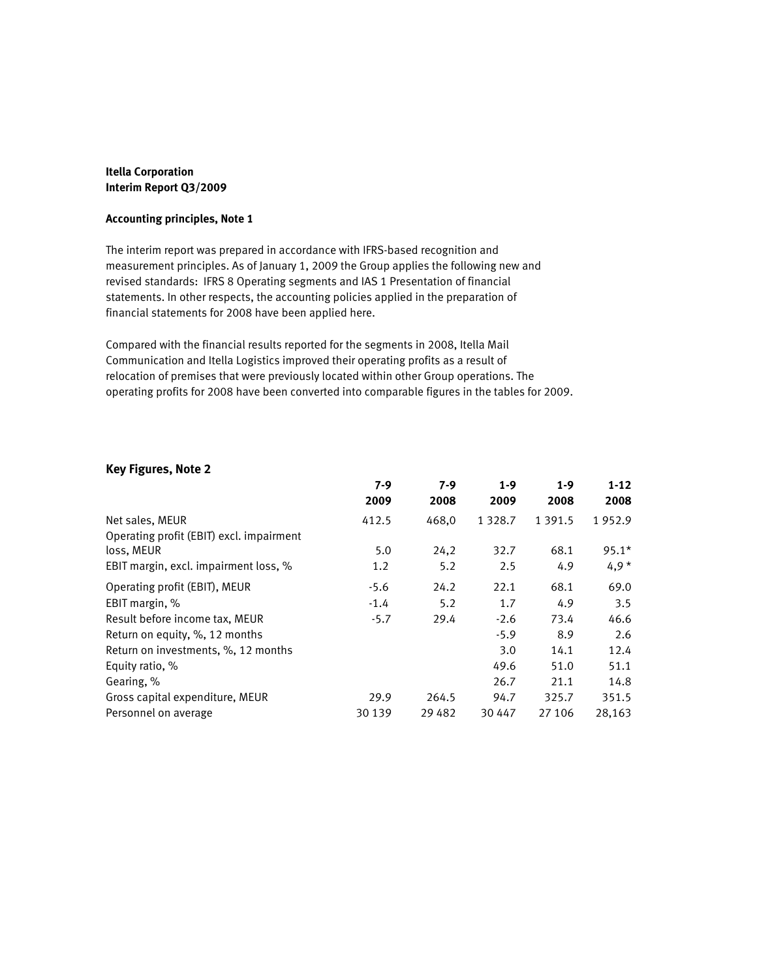#### **Itella Corporation Interim Report Q3/2009**

#### **Accounting principles, Note 1**

The interim report was prepared in accordance with IFRS-based recognition and measurement principles. As of January 1, 2009 the Group applies the following new and revised standards: IFRS 8 Operating segments and IAS 1 Presentation of financial statements. In other respects, the accounting policies applied in the preparation of financial statements for 2008 have been applied here.

Compared with the financial results reported for the segments in 2008, Itella Mail Communication and Itella Logistics improved their operating profits as a result of relocation of premises that were previously located within other Group operations. The operating profits for 2008 have been converted into comparable figures in the tables for 2009.

#### **Key Figures, Note 2**

| 7-9    | 7-9      | $1 - 9$     | $1-9$      | $1 - 12$ |
|--------|----------|-------------|------------|----------|
|        |          |             |            | 2008     |
| 412.5  | 468,0    | 1 3 2 8 . 7 | 1 3 9 1 .5 | 1952.9   |
|        |          |             |            |          |
| 5.0    | 24,2     | 32.7        | 68.1       | $95.1*$  |
| 1.2    | 5.2      | 2.5         | 4.9        | $4,9*$   |
| $-5.6$ | 24.2     | 22.1        | 68.1       | 69.0     |
| $-1.4$ | 5.2      | 1.7         | 4.9        | 3.5      |
| $-5.7$ | 29.4     | $-2.6$      | 73.4       | 46.6     |
|        |          | $-5.9$      | 8.9        | 2.6      |
|        |          | 3.0         | 14.1       | 12.4     |
|        |          | 49.6        | 51.0       | 51.1     |
|        |          | 26.7        | 21.1       | 14.8     |
| 29.9   | 264.5    | 94.7        | 325.7      | 351.5    |
| 30 139 | 29 4 8 2 | 30 447      | 27 10 6    | 28,163   |
|        | 2009     | 2008        | 2009       | 2008     |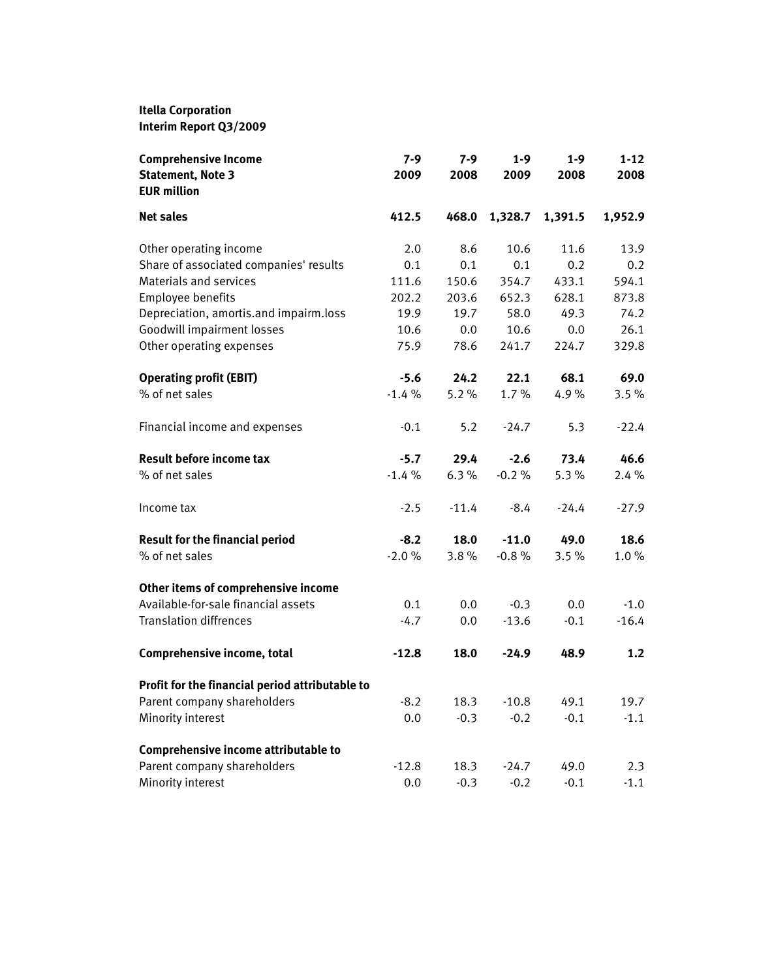# **Itella Corporation**

**Interim Report Q3/2009**

| <b>Comprehensive Income</b><br><b>Statement, Note 3</b><br><b>EUR million</b> | 7-9<br>2009 | $7-9$<br>2008 | $1 - 9$<br>2009 | $1 - 9$<br>2008 | $1 - 12$<br>2008 |
|-------------------------------------------------------------------------------|-------------|---------------|-----------------|-----------------|------------------|
| <b>Net sales</b>                                                              | 412.5       | 468.0         | 1,328.7         | 1,391.5         | 1,952.9          |
| Other operating income                                                        | 2.0         | 8.6           | 10.6            | 11.6            | 13.9             |
| Share of associated companies' results                                        | 0.1         | 0.1           | 0.1             | 0.2             | 0.2              |
| Materials and services                                                        | 111.6       | 150.6         | 354.7           | 433.1           | 594.1            |
| Employee benefits                                                             | 202.2       | 203.6         | 652.3           | 628.1           | 873.8            |
| Depreciation, amortis.and impairm.loss                                        | 19.9        | 19.7          | 58.0            | 49.3            | 74.2             |
| Goodwill impairment losses                                                    | 10.6        | 0.0           | 10.6            | 0.0             | 26.1             |
| Other operating expenses                                                      | 75.9        | 78.6          | 241.7           | 224.7           | 329.8            |
| <b>Operating profit (EBIT)</b>                                                | $-5.6$      | 24.2          | 22.1            | 68.1            | 69.0             |
| % of net sales                                                                | $-1.4%$     | 5.2%          | 1.7%            | 4.9%            | 3.5%             |
| Financial income and expenses                                                 | $-0.1$      | 5.2           | $-24.7$         | 5.3             | $-22.4$          |
| <b>Result before income tax</b>                                               | $-5.7$      | 29.4          | $-2.6$          | 73.4            | 46.6             |
| % of net sales                                                                | $-1.4%$     | 6.3%          | $-0.2%$         | 5.3%            | 2.4%             |
| Income tax                                                                    | $-2.5$      | $-11.4$       | $-8.4$          | $-24.4$         | $-27.9$          |
| <b>Result for the financial period</b>                                        | $-8.2$      | 18.0          | $-11.0$         | 49.0            | 18.6             |
| % of net sales                                                                | $-2.0%$     | 3.8%          | $-0.8%$         | 3.5%            | $1.0 \%$         |
| Other items of comprehensive income                                           |             |               |                 |                 |                  |
| Available-for-sale financial assets                                           | 0.1         | 0.0           | $-0.3$          | 0.0             | $-1.0$           |
| <b>Translation diffrences</b>                                                 | $-4.7$      | 0.0           | $-13.6$         | $-0.1$          | $-16.4$          |
| Comprehensive income, total                                                   | $-12.8$     | 18.0          | $-24.9$         | 48.9            | 1.2              |
| Profit for the financial period attributable to                               |             |               |                 |                 |                  |
| Parent company shareholders                                                   | $-8.2$      | 18.3          | $-10.8$         | 49.1            | 19.7             |
| Minority interest                                                             | 0.0         | $-0.3$        | $-0.2$          | $-0.1$          | $-1.1$           |
| Comprehensive income attributable to                                          |             |               |                 |                 |                  |
| Parent company shareholders                                                   | $-12.8$     | 18.3          | $-24.7$         | 49.0            | 2.3              |
| Minority interest                                                             | 0.0         | $-0.3$        | $-0.2$          | $-0.1$          | $-1.1$           |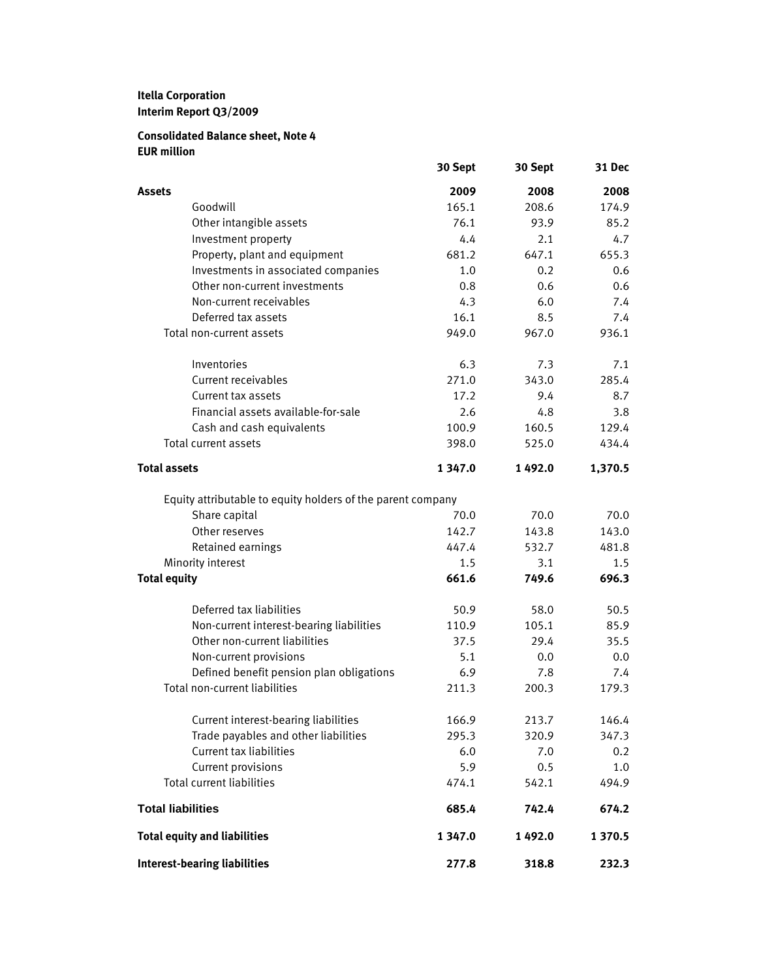# **Itella Corporation Interim Report Q3/2009**

## **Consolidated Balance sheet, Note 4 EUR million**

|                                                             | 30 Sept    | 30 Sept | 31 Dec  |
|-------------------------------------------------------------|------------|---------|---------|
| Assets                                                      | 2009       | 2008    | 2008    |
| Goodwill                                                    | 165.1      | 208.6   | 174.9   |
| Other intangible assets                                     | 76.1       | 93.9    | 85.2    |
| Investment property                                         | 4.4        | 2.1     | 4.7     |
| Property, plant and equipment                               | 681.2      | 647.1   | 655.3   |
| Investments in associated companies                         | 1.0        | 0.2     | 0.6     |
| Other non-current investments                               | 0.8        | 0.6     | 0.6     |
| Non-current receivables                                     | 4.3        | 6.0     | 7.4     |
| Deferred tax assets                                         | 16.1       | 8.5     | 7.4     |
| Total non-current assets                                    | 949.0      | 967.0   | 936.1   |
| Inventories                                                 | 6.3        | 7.3     | 7.1     |
| Current receivables                                         | 271.0      | 343.0   | 285.4   |
| Current tax assets                                          | 17.2       | 9.4     | 8.7     |
| Financial assets available-for-sale                         | 2.6        | 4.8     | 3.8     |
| Cash and cash equivalents                                   | 100.9      | 160.5   | 129.4   |
| <b>Total current assets</b>                                 | 398.0      | 525.0   | 434.4   |
| <b>Total assets</b>                                         | 1 347.0    | 1492.0  | 1,370.5 |
| Equity attributable to equity holders of the parent company |            |         |         |
| Share capital                                               | 70.0       | 70.0    | 70.0    |
| Other reserves                                              | 142.7      | 143.8   | 143.0   |
| Retained earnings                                           | 447.4      | 532.7   | 481.8   |
| Minority interest                                           | 1.5        | 3.1     | 1.5     |
| <b>Total equity</b>                                         | 661.6      | 749.6   | 696.3   |
| Deferred tax liabilities                                    | 50.9       | 58.0    | 50.5    |
| Non-current interest-bearing liabilities                    | 110.9      | 105.1   | 85.9    |
| Other non-current liabilities                               | 37.5       | 29.4    | 35.5    |
| Non-current provisions                                      | 5.1        | 0.0     | 0.0     |
| Defined benefit pension plan obligations                    | 6.9        | 7.8     | 7.4     |
| Total non-current liabilities                               | 211.3      | 200.3   | 179.3   |
| Current interest-bearing liabilities                        | 166.9      | 213.7   | 146.4   |
| Trade payables and other liabilities                        | 295.3      | 320.9   | 347.3   |
| <b>Current tax liabilities</b>                              | 6.0        | 7.0     | 0.2     |
| Current provisions                                          | 5.9        | 0.5     | 1.0     |
| <b>Total current liabilities</b>                            | 474.1      | 542.1   | 494.9   |
| <b>Total liabilities</b>                                    | 685.4      | 742.4   | 674.2   |
| <b>Total equity and liabilities</b>                         | 1 3 4 7 .0 | 1492.0  | 1 370.5 |
| <b>Interest-bearing liabilities</b>                         | 277.8      | 318.8   | 232.3   |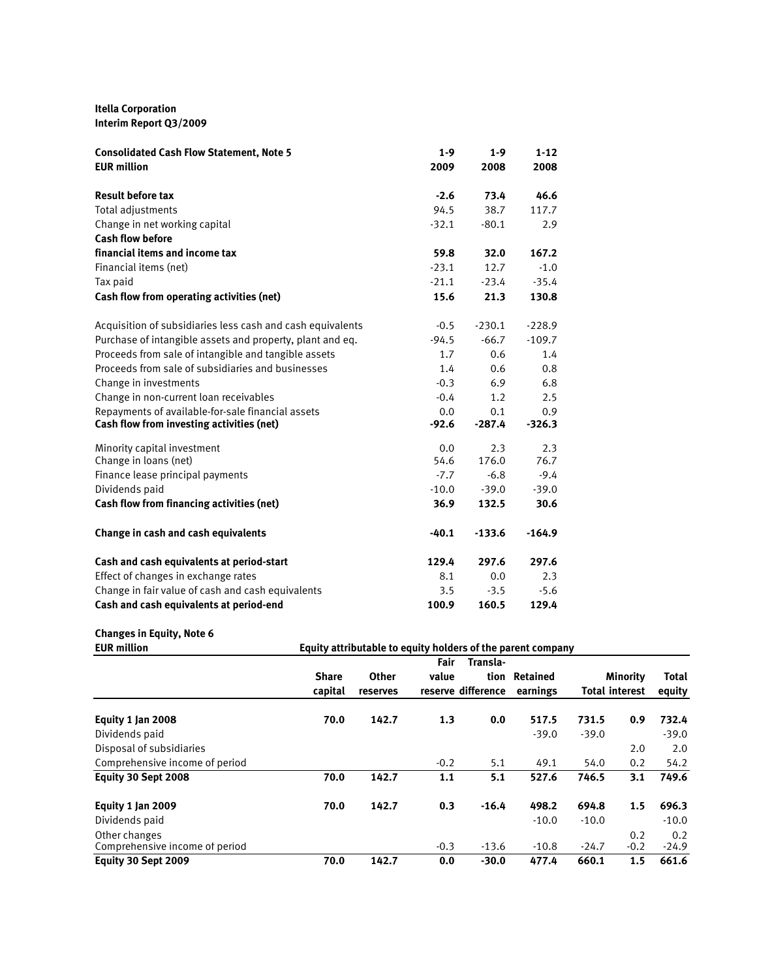#### **Itella Corporation Interim Report Q3/2009**

| <b>Consolidated Cash Flow Statement, Note 5</b>            | $1-9$   | $1-9$    | $1 - 12$ |
|------------------------------------------------------------|---------|----------|----------|
| <b>EUR</b> million                                         | 2009    | 2008     | 2008     |
| <b>Result before tax</b>                                   | $-2.6$  | 73.4     | 46.6     |
| <b>Total adjustments</b>                                   | 94.5    | 38.7     | 117.7    |
| Change in net working capital                              | $-32.1$ | $-80.1$  | 2.9      |
| <b>Cash flow before</b>                                    |         |          |          |
| financial items and income tax                             | 59.8    | 32.0     | 167.2    |
| Financial items (net)                                      | $-23.1$ | 12.7     | $-1.0$   |
| Tax paid                                                   | $-21.1$ | $-23.4$  | $-35.4$  |
| Cash flow from operating activities (net)                  | 15.6    | 21.3     | 130.8    |
| Acquisition of subsidiaries less cash and cash equivalents | $-0.5$  | $-230.1$ | $-228.9$ |
| Purchase of intangible assets and property, plant and eq.  | $-94.5$ | $-66.7$  | $-109.7$ |
| Proceeds from sale of intangible and tangible assets       | 1.7     | 0.6      | 1.4      |
| Proceeds from sale of subsidiaries and businesses          | 1.4     | 0.6      | 0.8      |
| Change in investments                                      | $-0.3$  | 6.9      | 6.8      |
| Change in non-current loan receivables                     | $-0.4$  | 1.2      | 2.5      |
| Repayments of available-for-sale financial assets          | 0.0     | 0.1      | 0.9      |
| Cash flow from investing activities (net)                  | $-92.6$ | $-287.4$ | $-326.3$ |
| Minority capital investment                                | 0.0     | 2.3      | 2.3      |
| Change in loans (net)                                      | 54.6    | 176.0    | 76.7     |
| Finance lease principal payments                           | $-7.7$  | $-6.8$   | $-9.4$   |
| Dividends paid                                             | $-10.0$ | $-39.0$  | $-39.0$  |
| Cash flow from financing activities (net)                  | 36.9    | 132.5    | 30.6     |
| Change in cash and cash equivalents                        | $-40.1$ | $-133.6$ | $-164.9$ |
| Cash and cash equivalents at period-start                  | 129.4   | 297.6    | 297.6    |
| Effect of changes in exchange rates                        | 8.1     | 0.0      | 2.3      |
| Change in fair value of cash and cash equivalents          | 3.5     | $-3.5$   | $-5.6$   |
| Cash and cash equivalents at period-end                    | 100.9   | 160.5    | 129.4    |

# **Changes in Equity, Note 6**

| <b>EUR million</b>             |              | Equity attributable to equity holders of the parent company |        |                    |          |         |                       |              |
|--------------------------------|--------------|-------------------------------------------------------------|--------|--------------------|----------|---------|-----------------------|--------------|
|                                |              |                                                             | Fair   | Transla-           |          |         |                       |              |
|                                | <b>Share</b> | Other                                                       | value  | tion               | Retained |         | <b>Minority</b>       | <b>Total</b> |
|                                | capital      | reserves                                                    |        | reserve difference | earnings |         | <b>Total interest</b> | equity       |
| Equity 1 Jan 2008              | 70.0         | 142.7                                                       | 1.3    | 0.0                | 517.5    | 731.5   | 0.9                   | 732.4        |
| Dividends paid                 |              |                                                             |        |                    | $-39.0$  | $-39.0$ |                       | $-39.0$      |
| Disposal of subsidiaries       |              |                                                             |        |                    |          |         | 2.0                   | 2.0          |
| Comprehensive income of period |              |                                                             | $-0.2$ | 5.1                | 49.1     | 54.0    | 0.2                   | 54.2         |
| Equity 30 Sept 2008            | 70.0         | 142.7                                                       | 1.1    | 5.1                | 527.6    | 746.5   | 3.1                   | 749.6        |
| Equity 1 Jan 2009              | 70.0         | 142.7                                                       | 0.3    | $-16.4$            | 498.2    | 694.8   | 1.5                   | 696.3        |
| Dividends paid                 |              |                                                             |        |                    | $-10.0$  | $-10.0$ |                       | $-10.0$      |
| Other changes                  |              |                                                             |        |                    |          |         | 0.2                   | 0.2          |
| Comprehensive income of period |              |                                                             | $-0.3$ | $-13.6$            | $-10.8$  | $-24.7$ | $-0.2$                | $-24.9$      |
| Equity 30 Sept 2009            | 70.0         | 142.7                                                       | 0.0    | $-30.0$            | 477.4    | 660.1   | 1.5                   | 661.6        |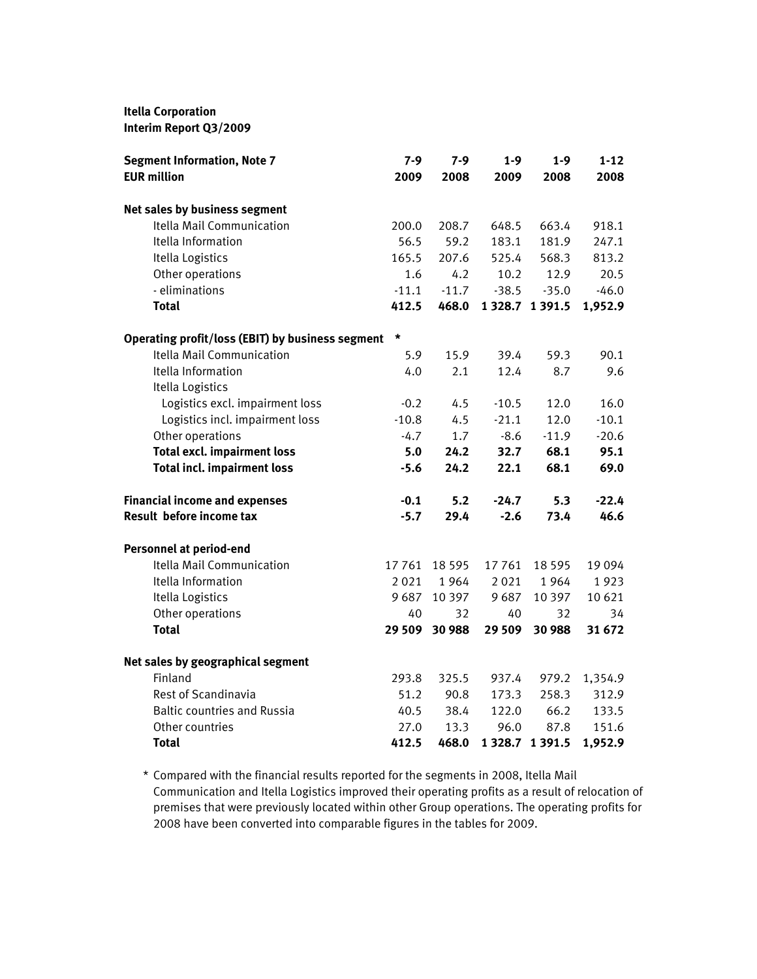#### **Itella Corporation**

**Interim Report Q3/2009**

| <b>Segment Information, Note 7</b>               | $7 - 9$ | 7-9      | $1 - 9$     | $1 - 9$            | $1 - 12$ |
|--------------------------------------------------|---------|----------|-------------|--------------------|----------|
| <b>EUR million</b>                               | 2009    | 2008     | 2009        | 2008               | 2008     |
| Net sales by business segment                    |         |          |             |                    |          |
| Itella Mail Communication                        | 200.0   | 208.7    | 648.5       | 663.4              | 918.1    |
| Itella Information                               | 56.5    | 59.2     | 183.1       | 181.9              | 247.1    |
| Itella Logistics                                 | 165.5   | 207.6    | 525.4       | 568.3              | 813.2    |
| Other operations                                 | 1.6     | 4.2      | 10.2        | 12.9               | 20.5     |
| - eliminations                                   | $-11.1$ | $-11.7$  | $-38.5$     | $-35.0$            | $-46.0$  |
| <b>Total</b>                                     | 412.5   | 468.0    |             | 1 3 28.7 1 3 9 1.5 | 1,952.9  |
| Operating profit/loss (EBIT) by business segment | *       |          |             |                    |          |
| Itella Mail Communication                        | 5.9     | 15.9     | 39.4        | 59.3               | 90.1     |
| Itella Information                               | 4.0     | 2.1      | 12.4        | 8.7                | 9.6      |
| Itella Logistics                                 |         |          |             |                    |          |
| Logistics excl. impairment loss                  | $-0.2$  | 4.5      | $-10.5$     | 12.0               | 16.0     |
| Logistics incl. impairment loss                  | $-10.8$ | 4.5      | $-21.1$     | 12.0               | $-10.1$  |
| Other operations                                 | $-4.7$  | 1.7      | $-8.6$      | $-11.9$            | $-20.6$  |
| <b>Total excl. impairment loss</b>               | 5.0     | 24.2     | 32.7        | 68.1               | 95.1     |
| <b>Total incl. impairment loss</b>               | $-5.6$  | 24.2     | 22.1        | 68.1               | 69.0     |
| <b>Financial income and expenses</b>             | $-0.1$  | 5.2      | $-24.7$     | 5.3                | $-22.4$  |
| Result before income tax                         | $-5.7$  | 29.4     | $-2.6$      | 73.4               | 46.6     |
| <b>Personnel at period-end</b>                   |         |          |             |                    |          |
| Itella Mail Communication                        | 17 761  | 18 5 9 5 | 17761       | 18 5 9 5           | 19094    |
| Itella Information                               | 2021    | 1964     | 2021        | 1964               | 1923     |
| Itella Logistics                                 | 9687    | 10 3 9 7 | 9687        | 10 3 9 7           | 10 6 21  |
| Other operations                                 | 40      | 32       | 40          | 32                 | 34       |
| <b>Total</b>                                     | 29 509  | 30 988   | 29 5 09     | 30 988             | 31 672   |
| Net sales by geographical segment                |         |          |             |                    |          |
| Finland                                          | 293.8   | 325.5    | 937.4       | 979.2              | 1,354.9  |
| Rest of Scandinavia                              | 51.2    | 90.8     | 173.3       | 258.3              | 312.9    |
| <b>Baltic countries and Russia</b>               | 40.5    | 38.4     | 122.0       | 66.2               | 133.5    |
| Other countries                                  | 27.0    | 13.3     | 96.0        | 87.8               | 151.6    |
| Total                                            | 412.5   | 468.0    | 1 3 2 8 . 7 | 1 3 9 1 . 5        | 1,952.9  |

\* Compared with the financial results reported for the segments in 2008, Itella Mail Communication and Itella Logistics improved their operating profits as a result of relocation of premises that were previously located within other Group operations. The operating profits for 2008 have been converted into comparable figures in the tables for 2009.